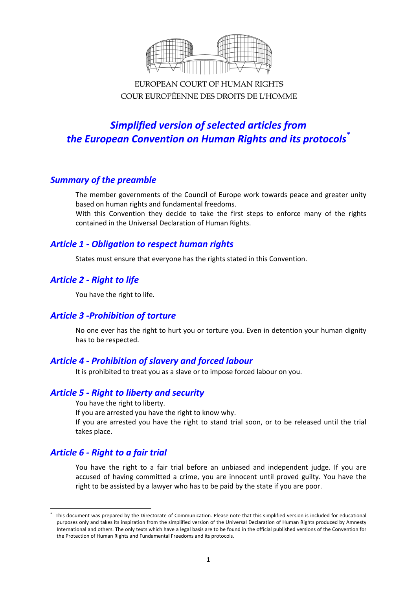

EUROPEAN COURT OF HUMAN RIGHTS COUR EUROPÉENNE DES DROITS DE L'HOMME

# *Simplified version of selected articles from the European Convention on Human Rights and its protocols\**

# *Summary of the preamble*

The member governments of the Council of Europe work towards peace and greater unity based on human rights and fundamental freedoms.

With this Convention they decide to take the first steps to enforce many of the rights contained in the Universal Declaration of Human Rights.

# *Article 1 ‐ Obligation to respect human rights*

States must ensure that everyone has the rights stated in this Convention.

# *Article 2 ‐ Right to life*

You have the right to life.

# *Article 3 ‐Prohibition of torture*

No one ever has the right to hurt you or torture you. Even in detention your human dignity has to be respected.

# *Article 4 ‐ Prohibition of slavery and forced labour*

It is prohibited to treat you as a slave or to impose forced labour on you.

# *Article 5 ‐ Right to liberty and security*

You have the right to liberty.

If you are arrested you have the right to know why.

If you are arrested you have the right to stand trial soon, or to be released until the trial takes place.

# *Article 6 ‐ Right to a fair trial*

1

You have the right to a fair trial before an unbiased and independent judge. If you are accused of having committed a crime, you are innocent until proved guilty. You have the right to be assisted by a lawyer who has to be paid by the state if you are poor.

<sup>\*</sup> This document was prepared by the Directorate of Communication. Please note that this simplified version is included for educational purposes only and takes its inspiration from the simplified version of the Universal Declaration of Human Rights produced by Amnesty International and others. The only texts which have a legal basis are to be found in the official published versions of the Convention for the Protection of Human Rights and Fundamental Freedoms and its protocols.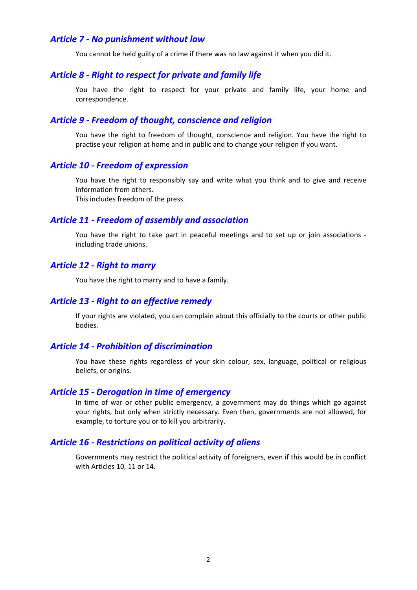### *Article 7 ‐ No punishment without law*

You cannot be held guilty of a crime if there was no law against it when you did it.

### *Article 8 ‐ Right to respect for private and family life*

You have the right to respect for your private and family life, your home and correspondence.

### *Article 9 ‐ Freedom of thought, conscience and religion*

You have the right to freedom of thought, conscience and religion. You have the right to practise your religion at home and in public and to change your religion if you want.

### *Article 10 ‐ Freedom of expression*

You have the right to responsibly say and write what you think and to give and receive information from others.

This includes freedom of the press.

### *Article 11 ‐ Freedom of assembly and association*

You have the right to take part in peaceful meetings and to set up or join associations ‐ including trade unions.

#### *Article 12 ‐ Right to marry*

You have the right to marry and to have a family.

#### *Article 13 ‐ Right to an effective remedy*

If your rights are violated, you can complain about this officially to the courts or other public bodies.

#### *Article 14 ‐ Prohibition of discrimination*

You have these rights regardless of your skin colour, sex, language, political or religious beliefs, or origins.

#### *Article 15 ‐ Derogation in time of emergency*

In time of war or other public emergency, a government may do things which go against your rights, but only when strictly necessary. Even then, governments are not allowed, for example, to torture you or to kill you arbitrarily.

### *Article 16 ‐ Restrictions on political activity of aliens*

Governments may restrict the political activity of foreigners, even if this would be in conflict with Articles 10, 11 or 14.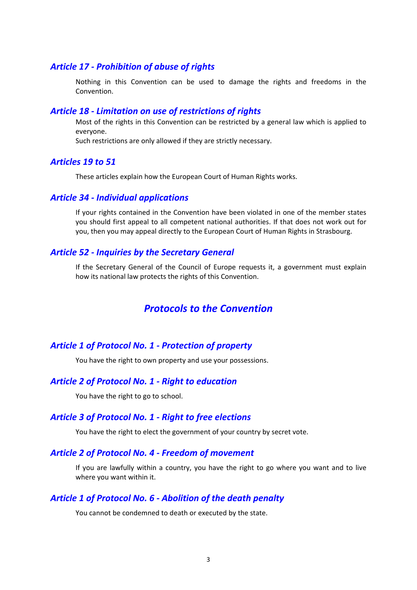### *Article 17 ‐ Prohibition of abuse of rights*

Nothing in this Convention can be used to damage the rights and freedoms in the Convention.

#### *Article 18 ‐ Limitation on use of restrictions of rights*

Most of the rights in this Convention can be restricted by a general law which is applied to everyone.

Such restrictions are only allowed if they are strictly necessary.

#### *Articles 19 to 51*

These articles explain how the European Court of Human Rights works.

#### *Article 34 ‐ Individual applications*

If your rights contained in the Convention have been violated in one of the member states you should first appeal to all competent national authorities. If that does not work out for you, then you may appeal directly to the European Court of Human Rights in Strasbourg.

### *Article 52 ‐ Inquiries by the Secretary General*

If the Secretary General of the Council of Europe requests it, a government must explain how its national law protects the rights of this Convention.

# *Protocols to the Convention*

#### *Article 1 of Protocol No. 1 ‐ Protection of property*

You have the right to own property and use your possessions.

#### *Article 2 of Protocol No. 1 ‐ Right to education*

You have the right to go to school.

#### *Article 3 of Protocol No. 1 ‐ Right to free elections*

You have the right to elect the government of your country by secret vote.

#### *Article 2 of Protocol No. 4 ‐ Freedom of movement*

If you are lawfully within a country, you have the right to go where you want and to live where you want within it.

#### *Article 1 of Protocol No. 6 ‐ Abolition of the death penalty*

You cannot be condemned to death or executed by the state.